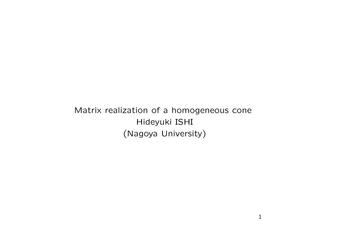Matrix realization of a homogeneous cone Hideyuki ISHI (Nagoya University)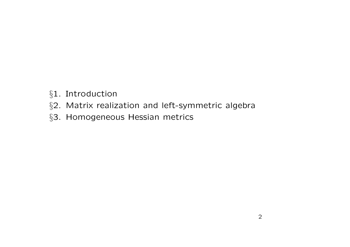- *§*1. Introduction
- *§*2. Matrix realization and left-symmetric algebra
- *§*3. Homogeneous Hessian metrics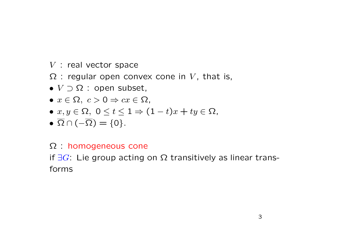- *V* : real vector space
- $\Omega$  : regular open convex cone in V, that is,
- *• V ⊃* Ω : open subset,
- $\bullet x \in \Omega$ ,  $c > 0 \Rightarrow cx \in \Omega$ ,
- $\bullet$  *x*, *y* ∈ Ω, 0 ≤ *t* ≤ 1 ⇒ (1 *− t*)*x* + *ty* ∈ Ω,
- $\overline{\Omega} \cap (-\overline{\Omega}) = \{0\}.$

## Ω : homogeneous cone

if *∃G*: Lie group acting on Ω transitively as linear transforms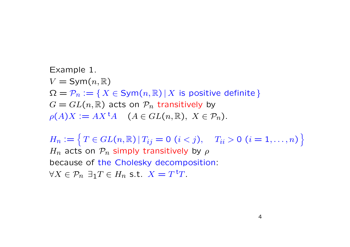Example 1.  $V = \text{Sym}(n, \mathbb{R})$  $\Omega = \mathcal{P}_n := \{ X \in \text{Sym}(n, \mathbb{R}) \, | \, X \text{ is positive definite } \}$  $G = GL(n, \mathbb{R})$  acts on  $P_n$  transitively by  $\rho(A)X := AX^{\dagger}A \quad (A \in GL(n, \mathbb{R}), X \in \mathcal{P}_n).$ 

 $H_n := \left\{ T \in GL(n, \mathbb{R}) \, | \, T_{ij} = 0 \, (i < j), \quad T_{ii} > 0 \, (i = 1, \ldots, n) \right\}$ *Hn* acts on *Pn* simply transitively by *ρ* because of the Cholesky decomposition: *∀X ∈ Pn ∃*1*T ∈ Hn* s.t. *X* = *T* <sup>t</sup>*T*.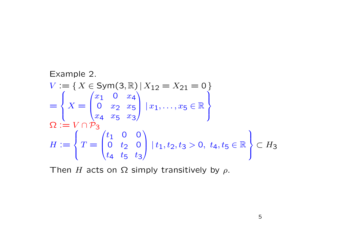Example 2.  
\n
$$
V := \{ X \in Sym(3, \mathbb{R}) | X_{12} = X_{21} = 0 \}
$$
\n
$$
= \left\{ X = \begin{pmatrix} x_1 & 0 & x_4 \\ 0 & x_2 & x_5 \\ x_4 & x_5 & x_3 \end{pmatrix} | x_1, \dots, x_5 \in \mathbb{R} \right\}
$$
\n
$$
\Omega := V \cap \mathcal{P}_3
$$
\n
$$
H := \left\{ T = \begin{pmatrix} t_1 & 0 & 0 \\ 0 & t_2 & 0 \\ t_4 & t_5 & t_3 \end{pmatrix} | t_1, t_2, t_3 > 0, t_4, t_5 \in \mathbb{R} \right\} \subset H_3
$$

Then *H* acts on  $\Omega$  simply transitively by  $\rho$ .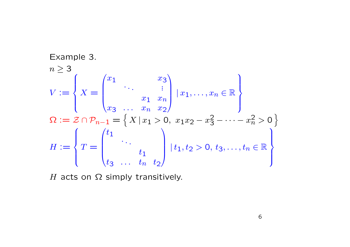Example 3.  
\n
$$
n \ge 3
$$
\n
$$
V := \left\{ X = \begin{pmatrix} x_1 & x_3 \\ \vdots & \vdots \\ x_3 & \dots & x_n & x_2 \end{pmatrix} \mid x_1, \dots, x_n \in \mathbb{R} \right\}
$$
\n
$$
\Omega := \mathcal{Z} \cap \mathcal{P}_{n-1} = \left\{ X \mid x_1 > 0, \ x_1 x_2 - x_3^2 - \dots - x_n^2 > 0 \right\}
$$
\n
$$
H := \left\{ T = \begin{pmatrix} t_1 & \vdots & \vdots \\ t_1 & \vdots & \vdots \\ t_3 & \dots & t_n & t_2 \end{pmatrix} \mid t_1, t_2 > 0, \ t_3, \dots, t_n \in \mathbb{R} \right\}
$$

*H* acts on  $Ω$  simply transitively.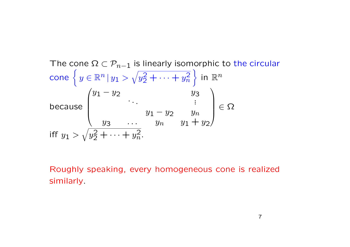The cone 
$$
\Omega \subset \mathcal{P}_{n-1}
$$
 is linearly isomorphic to the circular  
\ncone  $\left\{ y \in \mathbb{R}^n | y_1 > \sqrt{y_2^2 + \cdots + y_n^2} \right\}$  in  $\mathbb{R}^n$   
\nbecause  $\begin{pmatrix} y_1 - y_2 & y_3 \\ \vdots & \vdots \\ y_3 - \cdots & y_n \\ y_3 - \cdots & y_n \\ \vdots & \vdots \\ y_n - y_2 + \cdots + y_n^2 \end{pmatrix} \in \Omega$   
\niff  $y_1 > \sqrt{y_2^2 + \cdots + y_n^2}$ .

Roughly speaking, every homogeneous cone is realized similarly.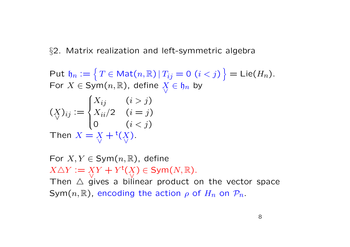*§*2. Matrix realization and left-symmetric algebra

 $\mathsf{Put}\ \mathfrak{h}_n := \left\{ \, T \in \mathsf{Mat}(n,\mathbb{R}) \, | \, T_{ij} = 0 \, \left( i < j \right) \, \right\} = \mathsf{Lie}(H_n).$ For  $X \in \text{Sym}(n, \mathbb{R})$ , define  $\overline{X}$ *∨*  $∈$   $b_n$  by (*X ∨*  $)_{ij} :=$  $\int$  $\int$  $\overline{\mathcal{L}}$  $X_{ij}$   $(i > j)$  $X_{ii}/2 \quad (i = j)$ 0  $(i < j)$ Then  $X = X$ *∨*  $+$ <sup>t</sup>( $\overline{X}$ *∨* ).

For  $X, Y \in \text{Sym}(n, \mathbb{R})$ , define  $X \triangle Y := X$ *∨*  $Y + Y^{\dagger}(X)$ *∨* ) *∈* Sym(*N,* R). Then  $\triangle$  gives a bilinear product on the vector space Sym $(n, \mathbb{R})$ , encoding the action  $\rho$  of  $H_n$  on  $\mathcal{P}_n$ .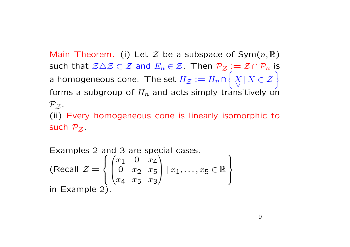Main Theorem. (i) Let  $\mathcal Z$  be a subspace of Sym $(n,\mathbb R)$ such that  $\mathcal{Z}\triangle\mathcal{Z}\subset\mathcal{Z}$  and  $E_n\in\mathcal{Z}$ . Then  $\mathcal{P}_{\mathcal{Z}}:=\mathcal{Z}\cap\mathcal{P}_n$  is a homogeneous cone. The set  $H_Z := H_n \cap$  $\int$ *X ∨ <sup>|</sup> <sup>X</sup> ∈ Z* } forms a subgroup of *Hn* and acts simply transitively on  $P_{Z}$ . (ii) Every homogeneous cone is linearly isomorphic to such  $\mathcal{P}_{\mathcal{Z}}$ .

Examples 2 and 3 are special cases.  
\n(Recall 
$$
\mathcal{Z} = \begin{cases} \begin{pmatrix} x_1 & 0 & x_4 \\ 0 & x_2 & x_5 \\ x_4 & x_5 & x_3 \end{pmatrix} | x_1, \dots, x_5 \in \mathbb{R} \end{cases}
$$
  
\nin Example 2).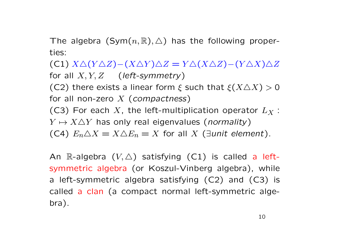The algebra  $(Sym(n, \mathbb{R}), \triangle)$  has the following properties:

(C1) *X△*(*Y △Z*)*−*(*X△Y* )*△Z* = *Y △*(*X△Z*)*−*(*Y △X*)*△Z* for all *X, Y, Z* (*left-symmetry*) (C2) there exists a linear form *ξ* such that *ξ*(*X△X*) *>* 0 for all non-zero *X* (*compactness*) (C3) For each *X*, the left-multiplication operator *L<sup>X</sup>* :  $Y \mapsto X \triangle Y$  has only real eigenvalues (*normality*) (C4)  $E_n \triangle X = X \triangle E_n = X$  for all *X* (*∃unit element*).

An  $\mathbb{R}$ -algebra  $(V, \triangle)$  satisfying  $(C1)$  is called a leftsymmetric algebra (or Koszul-Vinberg algebra), while a left-symmetric algebra satisfying (C2) and (C3) is called a clan (a compact normal left-symmetric algebra).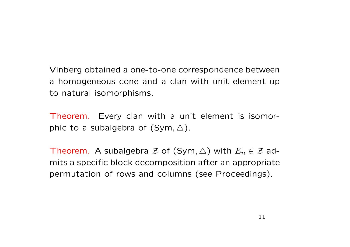Vinberg obtained a one-to-one correspondence between a homogeneous cone and a clan with unit element up to natural isomorphisms.

Theorem. Every clan with a unit element is isomorphic to a subalgebra of (Sym*, △*).

Theorem. A subalgebra  $\mathcal Z$  of (Sym,  $\triangle$ ) with  $E_n \in \mathcal Z$  admits a specific block decomposition after an appropriate permutation of rows and columns (see Proceedings).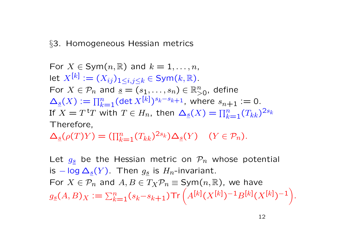## *§*3. Homogeneous Hessian metrics

For 
$$
X \in Sym(n, \mathbb{R})
$$
 and  $k = 1, ..., n$ ,  
let  $X^{[k]} := (X_{ij})_{1 \le i,j \le k} \in Sym(k, \mathbb{R})$ .  
For  $X \in \mathcal{P}_n$  and  $\underline{s} = (s_1, ..., s_n) \in \mathbb{R}_{>0}^n$ , define  
 $\Delta_{\underline{s}}(X) := \prod_{k=1}^n (\det X^{[k]})^{s_k - s_{k+1}}$ , where  $s_{n+1} := 0$ .  
If  $X = T$ <sup>tr</sup> with  $T \in H_n$ , then  $\Delta_{\underline{s}}(X) = \prod_{k=1}^n (T_{kk})^{2s_k}$   
Therefore,

 $\Delta_{\underline{s}}(\rho(T)Y) = (\prod_{k=1}^{n} (T_{kk})^{2s_k}) \Delta_{\underline{s}}(Y) \quad (Y \in \mathcal{P}_n).$ 

Let  $g_s$  be the Hessian metric on  $P_n$  whose potential is  $−$  log  $\Delta_s(Y)$ . Then  $g_s$  is  $H_n$ -invariant. For  $X \in \mathcal{P}_n$  and  $A, B \in T_X \mathcal{P}_n \equiv \text{Sym}(n, \mathbb{R})$ , we have  $g_{\underline{s}}(A,B)_X:=\sum_{k=1}^n(s_k-s_{k+1})\text{Tr}\left(A^{[k]}(X^{[k]})^{-1}B^{[k]}(X^{[k]})^{-1}\right)$ *.*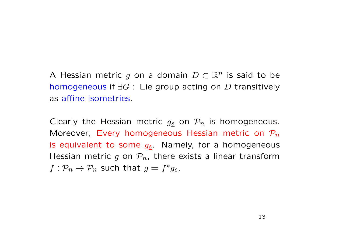A Hessian metric *g* on a domain *D ⊂* R*<sup>n</sup>* is said to be homogeneous if *∃G* : Lie group acting on *D* transitively as affine isometries.

Clearly the Hessian metric *gs* on *Pn* is homogeneous. Moreover, Every homogeneous Hessian metric on *Pn* is equivalent to some *gs*. Namely, for a homogeneous Hessian metric *g* on *Pn*, there exists a linear transform  $f: \mathcal{P}_n \to \mathcal{P}_n$  such that  $g = f^* g_{\underline{s}}$ .